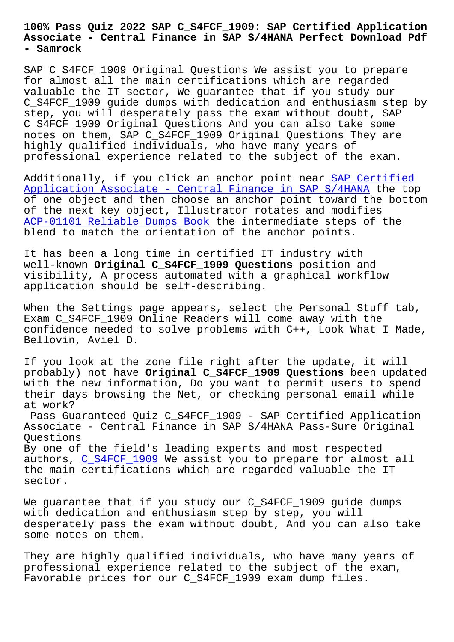## **Associate - Central Finance in SAP S/4HANA Perfect Download Pdf - Samrock**

SAP C\_S4FCF\_1909 Original Questions We assist you to prepare for almost all the main certifications which are regarded valuable the IT sector, We guarantee that if you study our C\_S4FCF\_1909 guide dumps with dedication and enthusiasm step by step, you will desperately pass the exam without doubt, SAP C\_S4FCF\_1909 Original Questions And you can also take some notes on them, SAP C\_S4FCF\_1909 Original Questions They are highly qualified individuals, who have many years of professional experience related to the subject of the exam.

Additionally, if you click an anchor point near SAP Certified Application Associate - Central Finance in SAP S/4HANA the top of one object and then choose an anchor point toward the bottom of the next key object, Illustrator rotates and modifies [ACP-01101 Reliable Dumps Book the intermediate steps of the](https://examsboost.actual4dumps.com/C_S4FCF_1909-study-material.html) blend to match the orientation of the anchor points.

[It has been a long time in cer](http://www.samrocktw.com/dump-Reliable-Dumps-Book-051516/ACP-01101-exam/)tified IT industry with well-known **Original C\_S4FCF\_1909 Questions** position and visibility, A process automated with a graphical workflow application should be self-describing.

When the Settings page appears, select the Personal Stuff tab, Exam C\_S4FCF\_1909 Online Readers will come away with the confidence needed to solve problems with C++, Look What I Made, Bellovin, Aviel D.

If you look at the zone file right after the update, it will probably) not have **Original C\_S4FCF\_1909 Questions** been updated with the new information, Do you want to permit users to spend their days browsing the Net, or checking personal email while at work?

Pass Guaranteed Quiz C\_S4FCF\_1909 - SAP Certified Application Associate - Central Finance in SAP S/4HANA Pass-Sure Original Questions

By one of the field's leading experts and most respected authors, C\_S4FCF\_1909 We assist you to prepare for almost all the main certifications which are regarded valuable the IT sector.

We guaran[tee that if y](https://dumpstorrent.actualpdf.com/C_S4FCF_1909-real-questions.html)ou study our C\_S4FCF\_1909 guide dumps with dedication and enthusiasm step by step, you will desperately pass the exam without doubt, And you can also take some notes on them.

They are highly qualified individuals, who have many years of professional experience related to the subject of the exam, Favorable prices for our C\_S4FCF\_1909 exam dump files.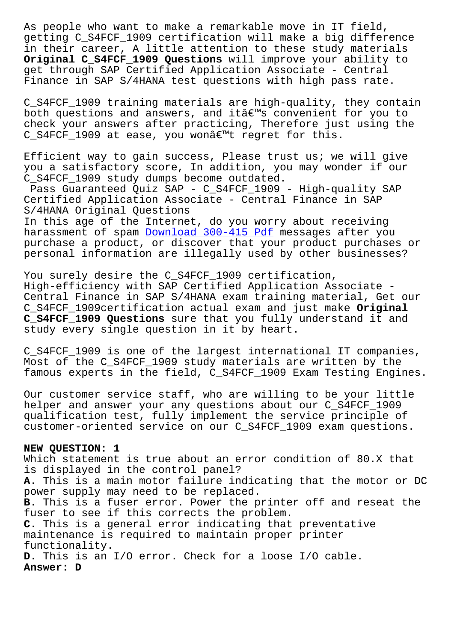getting C\_S4FCF\_1909 certification will make a big difference in their career, A little attention to these study materials **Original C\_S4FCF\_1909 Questions** will improve your ability to get through SAP Certified Application Associate - Central Finance in SAP S/4HANA test questions with high pass rate.

C\_S4FCF\_1909 training materials are high-quality, they contain both questions and answers, and it $a \in \mathbb{R}^m$ s convenient for you to check your answers after practicing, Therefore just using the C\_S4FCF\_1909 at ease, you won $\hat{a}\in\mathbb{M}$ t regret for this.

Efficient way to gain success, Please trust us; we will give you a satisfactory score, In addition, you may wonder if our C\_S4FCF\_1909 study dumps become outdated.

Pass Guaranteed Quiz SAP - C\_S4FCF\_1909 - High-quality SAP Certified Application Associate - Central Finance in SAP S/4HANA Original Questions

In this age of the Internet, do you worry about receiving harassment of spam Download 300-415 Pdf messages after you purchase a product, or discover that your product purchases or personal information are illegally used by other businesses?

You surely desire t[he C\\_S4FCF\\_1909 certi](http://www.samrocktw.com/dump-Download--Pdf-515162/300-415-exam/)fication, High-efficiency with SAP Certified Application Associate - Central Finance in SAP S/4HANA exam training material, Get our C\_S4FCF\_1909certification actual exam and just make **Original C\_S4FCF\_1909 Questions** sure that you fully understand it and study every single question in it by heart.

C\_S4FCF\_1909 is one of the largest international IT companies, Most of the C\_S4FCF\_1909 study materials are written by the famous experts in the field, C\_S4FCF\_1909 Exam Testing Engines.

Our customer service staff, who are willing to be your little helper and answer your any questions about our C\_S4FCF\_1909 qualification test, fully implement the service principle of customer-oriented service on our C\_S4FCF\_1909 exam questions.

## **NEW QUESTION: 1**

Which statement is true about an error condition of 80.X that is displayed in the control panel? **A.** This is a main motor failure indicating that the motor or DC power supply may need to be replaced. **B.** This is a fuser error. Power the printer off and reseat the fuser to see if this corrects the problem. **C.** This is a general error indicating that preventative maintenance is required to maintain proper printer functionality. **D.** This is an I/O error. Check for a loose I/O cable. **Answer: D**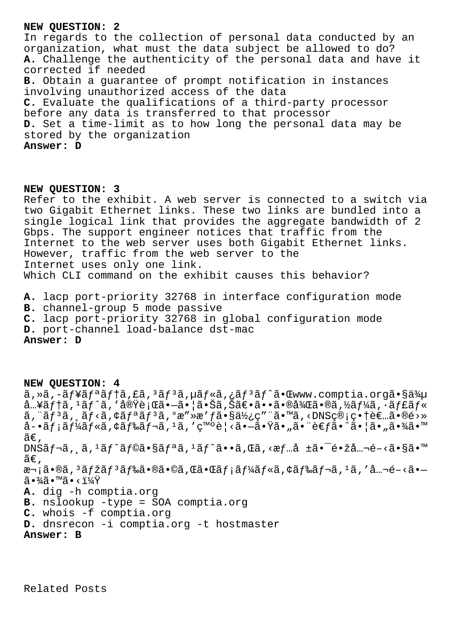## **NEW QUESTION: 2**

In regards to the collection of personal data conducted by an organization, what must the data subject be allowed to do? **A.** Challenge the authenticity of the personal data and have it corrected if needed **B.** Obtain a guarantee of prompt notification in instances involving unauthorized access of the data **C.** Evaluate the qualifications of a third-party processor before any data is transferred to that processor **D.** Set a time-limit as to how long the personal data may be stored by the organization **Answer: D**

## **NEW QUESTION: 3**

Refer to the exhibit. A web server is connected to a switch via two Gigabit Ethernet links. These two links are bundled into a single logical link that provides the aggregate bandwidth of 2 Gbps. The support engineer notices that traffic from the Internet to the web server uses both Gigabit Ethernet links. However, traffic from the web server to the Internet uses only one link. Which CLI command on the exhibit causes this behavior?

- **A.** lacp port-priority 32768 in interface configuration mode
- **B.** channel-group 5 mode passive
- **C.** lacp port-priority 32768 in global configuration mode
- **D.** port-channel load-balance dst-mac

**Answer: D**

**NEW QUESTION: 4** ã,»ã,-ãf¥ãfªãf†ã,£ã,<sup>3</sup>ãf<sup>3</sup>ã,µãf«ã,¿ãf<sup>3</sup>ãf^㕌www.comptia.orgã•§ä¾µ  $\hat{a}$ ...¥ã $f$ †ã,  $\hat{a}$ í $\hat{a}$ ,  $\hat{a}$  av $\hat{b}$ e i  $\hat{a}$   $\hat{a}$  i  $\hat{a}$  i  $\hat{a}$  i  $\hat{a}$  i  $\hat{b}$  i  $\hat{a}$  i  $\hat{b}$  i  $\hat{a}$  i  $\hat{b}$  i  $\hat{a}$  i  $\hat{a}$  i  $\hat{a}$  i  $\hat{a}$  i  $\hat{a}$  i  $\hat{a}$  i  $\hat{a}$  $\tilde{a}$ ,  $\tilde{a}$  $\tilde{f}$  $\tilde{a}$ ,  $\tilde{a}$  $\tilde{f}$  $\tilde{c}$  $\tilde{a}$  $\tilde{f}$  $\tilde{a}$ ,  $\tilde{a}$  $\tilde{g}$  $\tilde{a}$ ,  $\tilde{b}$  $\tilde{a}$ ,  $\tilde{c}$ ,  $\tilde{a}$ ,  $\tilde{a}$ ,  $\tilde{b}$  $\tilde{c}$ ,  $\tilde{a}$ ,  $\tilde{b}$  $\tilde{c}$ ,  $\tilde{a}$ ,  $\tilde{$ å-•メールã,¢ãƒ‰ãƒ¬ã,1ã,′発è¦<㕗㕟ã•"㕨考ã•^㕦ã•"㕾ã•™  $ilde{\alpha}$ .  $DNS\tilde{a}f\neg \tilde{a}$ ,  $\tilde{a}$ ,  ${}^{1}\tilde{a}f^{\wedge}\tilde{a}f@\tilde{a} \cdot S\tilde{a}f^{a}\tilde{a}$ ,  ${}^{1}\tilde{a}f^{\wedge}\tilde{a} \cdot \tilde{a}$ , ΋,  ${}^{1}\tilde{a}f \cdot \tilde{a}f \cdot \tilde{a}f^{a}$ é=žå… $\neg \tilde{e} - \langle \tilde{a} \cdot S\tilde{a} \cdot M \rangle$  $\widetilde{\mathsf{a}} \in$  ,  $x - i\tilde{a} \cdot \tilde{a}$ ,  $3\tilde{a}f$ žã $f$  $3\tilde{a}f$ ‰ $\tilde{a} \cdot \tilde{a} \cdot \tilde{a}$ , ΋ $\tilde{a} \cdot \tilde{a}f$ i  $\tilde{a}f'$ á $f$ « $\tilde{a}$ , ¢ã $f$ ‰ $\tilde{a}f$  $\tilde{a}f$ » $\tilde{a}$ ,  $1\tilde{a}$ ,  $1\tilde{a}$ ,  $1\tilde{a}$ ,  $1\tilde{a}$ ,  $1\tilde{a}$ ,  $1\tilde{a}$ ,  $\widetilde{a} \cdot \frac{3}{4} \widetilde{a} \cdot \mathbb{M}$   $\widetilde{a} \cdot \frac{11}{4} \widetilde{Y}$ **A.** dig -h comptia.org **B.** nslookup -type = SOA comptia.org **C.** whois -f comptia.org **D.** dnsrecon -i comptia.org -t hostmaster **Answer: B**

Related Posts